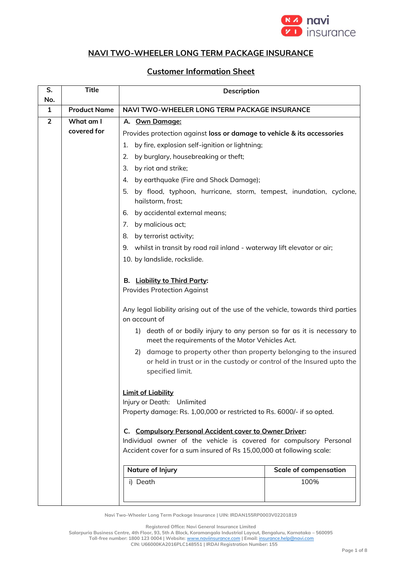

## **NAVI TWO-WHEELER LONG TERM PACKAGE INSURANCE**

## **Customer Information Sheet**

| S.<br>No.      | <b>Title</b>        | Description                                                                                                                                                                                          |                              |
|----------------|---------------------|------------------------------------------------------------------------------------------------------------------------------------------------------------------------------------------------------|------------------------------|
| 1              | <b>Product Name</b> | NAVI TWO-WHEELER LONG TERM PACKAGE INSURANCE                                                                                                                                                         |                              |
| $\overline{2}$ | What am I           | A. Own Damage:                                                                                                                                                                                       |                              |
|                | covered for         | Provides protection against loss or damage to vehicle & its accessories                                                                                                                              |                              |
|                |                     | by fire, explosion self-ignition or lightning;<br>1.                                                                                                                                                 |                              |
|                |                     | 2.<br>by burglary, housebreaking or theft;                                                                                                                                                           |                              |
|                |                     | 3.<br>by riot and strike;                                                                                                                                                                            |                              |
|                |                     | by earthquake (Fire and Shock Damage);<br>4.                                                                                                                                                         |                              |
|                |                     | 5. by flood, typhoon, hurricane, storm, tempest, inundation, cyclone,<br>hailstorm, frost;                                                                                                           |                              |
|                |                     | by accidental external means;<br>6.                                                                                                                                                                  |                              |
|                |                     | by malicious act;<br>7.                                                                                                                                                                              |                              |
|                |                     | 8.<br>by terrorist activity;                                                                                                                                                                         |                              |
|                |                     | 9. whilst in transit by road rail inland - waterway lift elevator or air;                                                                                                                            |                              |
|                |                     | 10. by landslide, rockslide.                                                                                                                                                                         |                              |
|                |                     | B. Liability to Third Party:<br><b>Provides Protection Against</b>                                                                                                                                   |                              |
|                |                     | Any legal liability arising out of the use of the vehicle, towards third parties<br>on account of                                                                                                    |                              |
|                |                     | death of or bodily injury to any person so far as it is necessary to<br>1)<br>meet the requirements of the Motor Vehicles Act.                                                                       |                              |
|                |                     | 2) damage to property other than property belonging to the insured<br>or held in trust or in the custody or control of the Insured upto the<br>specified limit.                                      |                              |
|                |                     | <b>Limit of Liability</b><br>Injury or Death: Unlimited<br>Property damage: Rs. 1,00,000 or restricted to Rs. 6000/- if so opted.                                                                    |                              |
|                |                     | C. Compulsory Personal Accident cover to Owner Driver:<br>Individual owner of the vehicle is covered for compulsory Personal<br>Accident cover for a sum insured of Rs 15,00,000 at following scale: |                              |
|                |                     | Nature of Injury                                                                                                                                                                                     | <b>Scale of compensation</b> |
|                |                     | i) Death                                                                                                                                                                                             | 100%                         |
|                |                     |                                                                                                                                                                                                      |                              |

**Navi Two-Wheeler Long Term Package Insurance | UIN: IRDAN155RP0003V02201819**

**Registered Office: Navi General Insurance Limited**

**Salarpuria Business Centre, 4th Floor, 93, 5th A Block, Koramangala Industrial Layout, Bengaluru, Karnataka – 560095 Toll-free number: 1800 123 0004 | Website:** [www.naviinsurance.com](http://www.naviinsurance.com/) **| Email:** [insurance.help@navi.com](mailto:insurance.help@navi.com)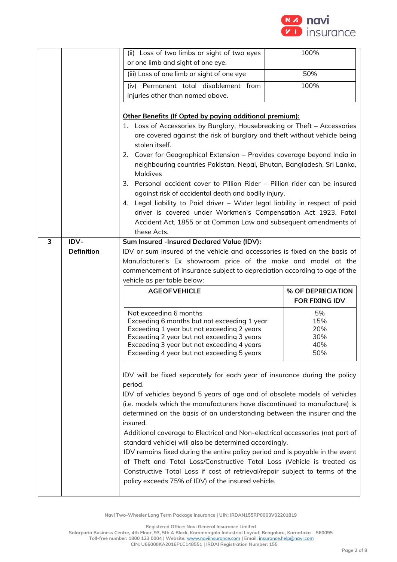

|   |                   | (ii) Loss of two limbs or sight of two eyes                                                                                                                                                                                                                                                                                                                                                                                                                                                                                                                                                                                                                                                                                                                                     | 100%                                                                      |
|---|-------------------|---------------------------------------------------------------------------------------------------------------------------------------------------------------------------------------------------------------------------------------------------------------------------------------------------------------------------------------------------------------------------------------------------------------------------------------------------------------------------------------------------------------------------------------------------------------------------------------------------------------------------------------------------------------------------------------------------------------------------------------------------------------------------------|---------------------------------------------------------------------------|
|   |                   | or one limb and sight of one eye.                                                                                                                                                                                                                                                                                                                                                                                                                                                                                                                                                                                                                                                                                                                                               |                                                                           |
|   |                   | (iii) Loss of one limb or sight of one eye                                                                                                                                                                                                                                                                                                                                                                                                                                                                                                                                                                                                                                                                                                                                      | 50%                                                                       |
|   |                   | (iv) Permanent total disablement from                                                                                                                                                                                                                                                                                                                                                                                                                                                                                                                                                                                                                                                                                                                                           | 100%                                                                      |
|   |                   | injuries other than named above.                                                                                                                                                                                                                                                                                                                                                                                                                                                                                                                                                                                                                                                                                                                                                |                                                                           |
|   |                   |                                                                                                                                                                                                                                                                                                                                                                                                                                                                                                                                                                                                                                                                                                                                                                                 |                                                                           |
|   |                   | Other Benefits (If Opted by paying additional premium):                                                                                                                                                                                                                                                                                                                                                                                                                                                                                                                                                                                                                                                                                                                         |                                                                           |
|   |                   | 1. Loss of Accessories by Burglary, Housebreaking or Theft - Accessories                                                                                                                                                                                                                                                                                                                                                                                                                                                                                                                                                                                                                                                                                                        |                                                                           |
|   |                   | are covered against the risk of burglary and theft without vehicle being<br>stolen itself.                                                                                                                                                                                                                                                                                                                                                                                                                                                                                                                                                                                                                                                                                      |                                                                           |
|   |                   | 2. Cover for Geographical Extension - Provides coverage beyond India in                                                                                                                                                                                                                                                                                                                                                                                                                                                                                                                                                                                                                                                                                                         |                                                                           |
|   |                   | neighbouring countries Pakistan, Nepal, Bhutan, Bangladesh, Sri Lanka,<br>Maldives                                                                                                                                                                                                                                                                                                                                                                                                                                                                                                                                                                                                                                                                                              |                                                                           |
|   |                   | 3. Personal accident cover to Pillion Rider – Pillion rider can be insured                                                                                                                                                                                                                                                                                                                                                                                                                                                                                                                                                                                                                                                                                                      |                                                                           |
|   |                   | against risk of accidental death and bodily injury.                                                                                                                                                                                                                                                                                                                                                                                                                                                                                                                                                                                                                                                                                                                             |                                                                           |
|   |                   | 4. Legal liability to Paid driver - Wider legal liability in respect of paid                                                                                                                                                                                                                                                                                                                                                                                                                                                                                                                                                                                                                                                                                                    |                                                                           |
|   |                   | driver is covered under Workmen's Compensation Act 1923, Fatal                                                                                                                                                                                                                                                                                                                                                                                                                                                                                                                                                                                                                                                                                                                  |                                                                           |
|   |                   | Accident Act, 1855 or at Common Law and subsequent amendments of                                                                                                                                                                                                                                                                                                                                                                                                                                                                                                                                                                                                                                                                                                                |                                                                           |
|   |                   | these Acts.                                                                                                                                                                                                                                                                                                                                                                                                                                                                                                                                                                                                                                                                                                                                                                     |                                                                           |
| 3 | IDV-              | Sum Insured -Insured Declared Value (IDV):                                                                                                                                                                                                                                                                                                                                                                                                                                                                                                                                                                                                                                                                                                                                      |                                                                           |
|   | <b>Definition</b> | IDV or sum insured of the vehicle and accessories is fixed on the basis of                                                                                                                                                                                                                                                                                                                                                                                                                                                                                                                                                                                                                                                                                                      |                                                                           |
|   |                   | Manufacturer's Ex showroom price of the make and model at the                                                                                                                                                                                                                                                                                                                                                                                                                                                                                                                                                                                                                                                                                                                   |                                                                           |
|   |                   |                                                                                                                                                                                                                                                                                                                                                                                                                                                                                                                                                                                                                                                                                                                                                                                 |                                                                           |
|   |                   |                                                                                                                                                                                                                                                                                                                                                                                                                                                                                                                                                                                                                                                                                                                                                                                 | commencement of insurance subject to depreciation according to age of the |
|   |                   | vehicle as per table below:                                                                                                                                                                                                                                                                                                                                                                                                                                                                                                                                                                                                                                                                                                                                                     |                                                                           |
|   |                   | <b>AGE OF VEHICLE</b>                                                                                                                                                                                                                                                                                                                                                                                                                                                                                                                                                                                                                                                                                                                                                           | % OF DEPRECIATION                                                         |
|   |                   |                                                                                                                                                                                                                                                                                                                                                                                                                                                                                                                                                                                                                                                                                                                                                                                 | FOR FIXING IDV                                                            |
|   |                   | Not exceeding 6 months                                                                                                                                                                                                                                                                                                                                                                                                                                                                                                                                                                                                                                                                                                                                                          | 5%                                                                        |
|   |                   | Exceeding 6 months but not exceeding 1 year                                                                                                                                                                                                                                                                                                                                                                                                                                                                                                                                                                                                                                                                                                                                     | 15%                                                                       |
|   |                   | Exceeding 1 year but not exceeding 2 years                                                                                                                                                                                                                                                                                                                                                                                                                                                                                                                                                                                                                                                                                                                                      | 20%                                                                       |
|   |                   | Exceeding 2 year but not exceeding 3 years<br>Exceeding 3 year but not exceeding 4 years                                                                                                                                                                                                                                                                                                                                                                                                                                                                                                                                                                                                                                                                                        | 30%<br>40%                                                                |
|   |                   | Exceeding 4 year but not exceeding 5 years                                                                                                                                                                                                                                                                                                                                                                                                                                                                                                                                                                                                                                                                                                                                      | 50%                                                                       |
|   |                   | IDV will be fixed separately for each year of insurance during the policy<br>period.<br>IDV of vehicles beyond 5 years of age and of obsolete models of vehicles<br>(i.e. models which the manufacturers have discontinued to manufacture) is<br>determined on the basis of an understanding between the insurer and the<br>insured.<br>Additional coverage to Electrical and Non-electrical accessories (not part of<br>standard vehicle) will also be determined accordingly.<br>IDV remains fixed during the entire policy period and is payable in the event<br>of Theft and Total Loss/Constructive Total Loss (Vehicle is treated as<br>Constructive Total Loss if cost of retrieval/repair subject to terms of the<br>policy exceeds 75% of IDV) of the insured vehicle. |                                                                           |

**Registered Office: Navi General Insurance Limited**

**Salarpuria Business Centre, 4th Floor, 93, 5th A Block, Koramangala Industrial Layout, Bengaluru, Karnataka – 560095 Toll-free number: 1800 123 0004 | Website:** [www.naviinsurance.com](http://www.naviinsurance.com/) **| Email:** [insurance.help@navi.com](mailto:insurance.help@navi.com) **CIN: U66000KA2016PLC148551 | IRDAI Registration Number: 155**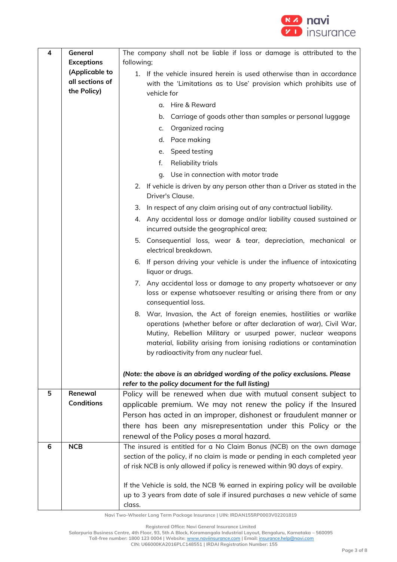

| 4 | General                                                                                 | The company shall not be liable if loss or damage is attributed to the<br>following;                                                  |  |
|---|-----------------------------------------------------------------------------------------|---------------------------------------------------------------------------------------------------------------------------------------|--|
|   | <b>Exceptions</b>                                                                       |                                                                                                                                       |  |
|   | (Applicable to<br>1. If the vehicle insured herein is used otherwise than in accordance |                                                                                                                                       |  |
|   | all sections of                                                                         | with the 'Limitations as to Use' provision which prohibits use of                                                                     |  |
|   | the Policy)                                                                             | vehicle for                                                                                                                           |  |
|   |                                                                                         | a. Hire & Reward                                                                                                                      |  |
|   |                                                                                         | Carriage of goods other than samples or personal luggage<br>b.                                                                        |  |
|   |                                                                                         | Organized racing<br>c.                                                                                                                |  |
|   |                                                                                         | d. Pace making                                                                                                                        |  |
|   |                                                                                         | Speed testing<br>е.                                                                                                                   |  |
|   |                                                                                         | f.<br>Reliability trials                                                                                                              |  |
|   |                                                                                         | Use in connection with motor trade<br>q.                                                                                              |  |
|   |                                                                                         | 2. If vehicle is driven by any person other than a Driver as stated in the                                                            |  |
|   |                                                                                         | Driver's Clause.                                                                                                                      |  |
|   |                                                                                         | 3. In respect of any claim arising out of any contractual liability.                                                                  |  |
|   |                                                                                         | 4. Any accidental loss or damage and/or liability caused sustained or                                                                 |  |
|   |                                                                                         | incurred outside the geographical area;                                                                                               |  |
|   |                                                                                         | 5. Consequential loss, wear & tear, depreciation, mechanical or<br>electrical breakdown.                                              |  |
|   |                                                                                         | 6. If person driving your vehicle is under the influence of intoxicating<br>liquor or drugs.                                          |  |
|   |                                                                                         | 7. Any accidental loss or damage to any property whatsoever or any                                                                    |  |
|   |                                                                                         | loss or expense whatsoever resulting or arising there from or any                                                                     |  |
|   |                                                                                         | consequential loss.                                                                                                                   |  |
|   |                                                                                         | 8. War, Invasion, the Act of foreign enemies, hostilities or warlike                                                                  |  |
|   |                                                                                         | operations (whether before or after declaration of war), Civil War,                                                                   |  |
|   |                                                                                         | Mutiny, Rebellion Military or usurped power, nuclear weapons<br>material, liability arising from ionising radiations or contamination |  |
|   |                                                                                         | by radioactivity from any nuclear fuel.                                                                                               |  |
|   |                                                                                         |                                                                                                                                       |  |
|   |                                                                                         | (Note: the above is an abridged wording of the policy exclusions. Please                                                              |  |
|   |                                                                                         | refer to the policy document for the full listing)                                                                                    |  |
| 5 | Renewal                                                                                 | Policy will be renewed when due with mutual consent subject to                                                                        |  |
|   | <b>Conditions</b>                                                                       | applicable premium. We may not renew the policy if the Insured                                                                        |  |
|   |                                                                                         | Person has acted in an improper, dishonest or fraudulent manner or                                                                    |  |
|   |                                                                                         | there has been any misrepresentation under this Policy or the                                                                         |  |
|   |                                                                                         | renewal of the Policy poses a moral hazard.                                                                                           |  |
| 6 | <b>NCB</b>                                                                              | The insured is entitled for a No Claim Bonus (NCB) on the own damage                                                                  |  |
|   |                                                                                         | section of the policy, if no claim is made or pending in each completed year                                                          |  |
|   |                                                                                         | of risk NCB is only allowed if policy is renewed within 90 days of expiry.                                                            |  |
|   |                                                                                         | If the Vehicle is sold, the NCB % earned in expiring policy will be available                                                         |  |
|   |                                                                                         | up to 3 years from date of sale if insured purchases a new vehicle of same                                                            |  |
|   |                                                                                         | class.                                                                                                                                |  |

**Registered Office: Navi General Insurance Limited**

**Salarpuria Business Centre, 4th Floor, 93, 5th A Block, Koramangala Industrial Layout, Bengaluru, Karnataka – 560095 Toll-free number: 1800 123 0004 | Website:** [www.naviinsurance.com](http://www.naviinsurance.com/) **| Email:** [insurance.help@navi.com](mailto:insurance.help@navi.com)

**CIN: U66000KA2016PLC148551 | IRDAI Registration Number: 155**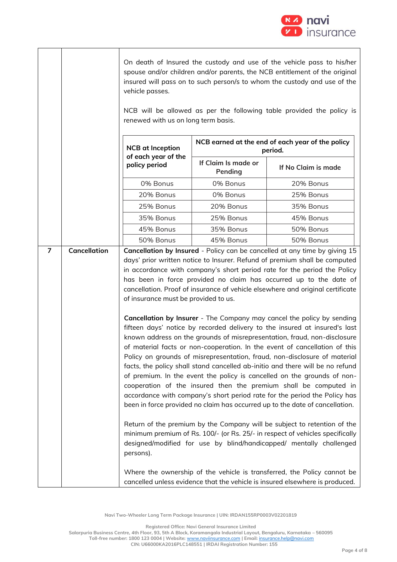

On death of Insured the custody and use of the vehicle pass to his/her spouse and/or children and/or parents, the NCB entitlement of the original insured will pass on to such person/s to whom the custody and use of the vehicle passes.

NCB will be allowed as per the following table provided the policy is renewed with us on long term basis.

| <b>NCB</b> at Inception<br>of each year of the | NCB earned at the end of each year of the policy<br>period. |                     |  |
|------------------------------------------------|-------------------------------------------------------------|---------------------|--|
| policy period                                  | If Claim Is made or<br>Pending                              | If No Claim is made |  |
| 0% Bonus                                       | 0% Bonus                                                    | 20% Bonus           |  |
| 20% Bonus                                      | 0% Bonus                                                    | 25% Bonus           |  |
| 25% Bonus                                      | 20% Bonus                                                   | 35% Bonus           |  |
| 35% Bonus                                      | 25% Bonus                                                   | 45% Bonus           |  |
| 45% Bonus                                      | 35% Bonus                                                   | 50% Bonus           |  |
| 50% Bonus                                      | 45% Bonus                                                   | 50% Bonus           |  |

**7 Cancellation Cancellation by Insured** - Policy can be cancelled at any time by giving 15 days' prior written notice to Insurer. Refund of premium shall be computed in accordance with company's short period rate for the period the Policy has been in force provided no claim has occurred up to the date of cancellation. Proof of insurance of vehicle elsewhere and original certificate of insurance must be provided to us.

> **Cancellation by Insurer** - The Company may cancel the policy by sending fifteen days' notice by recorded delivery to the insured at insured's last known address on the grounds of misrepresentation, fraud, non-disclosure of material facts or non-cooperation. In the event of cancellation of this Policy on grounds of misrepresentation, fraud, non-disclosure of material facts, the policy shall stand cancelled ab-initio and there will be no refund of premium. In the event the policy is cancelled on the grounds of noncooperation of the insured then the premium shall be computed in accordance with company's short period rate for the period the Policy has been in force provided no claim has occurred up to the date of cancellation.

> Return of the premium by the Company will be subject to retention of the minimum premium of Rs. 100/- (or Rs. 25/- in respect of vehicles specifically designed/modified for use by blind/handicapped/ mentally challenged persons).

> Where the ownership of the vehicle is transferred, the Policy cannot be cancelled unless evidence that the vehicle is insured elsewhere is produced.

**Navi Two-Wheeler Long Term Package Insurance | UIN: IRDAN155RP0003V02201819**

**Registered Office: Navi General Insurance Limited**

**Salarpuria Business Centre, 4th Floor, 93, 5th A Block, Koramangala Industrial Layout, Bengaluru, Karnataka – 560095 Toll-free number: 1800 123 0004 | Website:** [www.naviinsurance.com](http://www.naviinsurance.com/) **| Email:** [insurance.help@navi.com](mailto:insurance.help@navi.com) **CIN: U66000KA2016PLC148551 | IRDAI Registration Number: 155**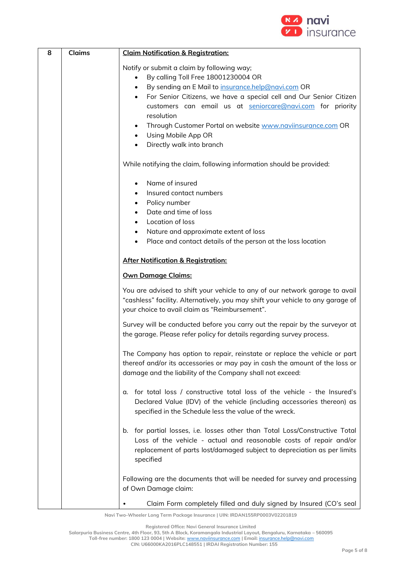

| 8 | <b>Claims</b> | <b>Claim Notification &amp; Registration:</b>                                                                                                                                                                                                                                                                                                                                                                                                                                                                                                                      |
|---|---------------|--------------------------------------------------------------------------------------------------------------------------------------------------------------------------------------------------------------------------------------------------------------------------------------------------------------------------------------------------------------------------------------------------------------------------------------------------------------------------------------------------------------------------------------------------------------------|
|   |               | Notify or submit a claim by following way;<br>By calling Toll Free 18001230004 OR<br>$\bullet$<br>By sending an E Mail to insurance.help@navi.com OR<br>$\bullet$<br>For Senior Citizens, we have a special cell and Our Senior Citizen<br>$\bullet$<br>customers can email us at seniorcare@navi.com for priority<br>resolution<br>Through Customer Portal on website www.naviinsurance.com OR<br>$\bullet$<br>Using Mobile App OR<br>$\bullet$<br>Directly walk into branch<br>$\bullet$<br>While notifying the claim, following information should be provided: |
|   |               | Name of insured<br>Insured contact numbers<br>Policy number<br>$\bullet$<br>Date and time of loss<br>Location of loss<br>$\bullet$<br>Nature and approximate extent of loss<br>$\bullet$<br>Place and contact details of the person at the loss location<br>$\bullet$                                                                                                                                                                                                                                                                                              |
|   |               | <b>After Notification &amp; Registration:</b><br><b>Own Damage Claims:</b>                                                                                                                                                                                                                                                                                                                                                                                                                                                                                         |
|   |               | You are advised to shift your vehicle to any of our network garage to avail<br>"cashless" facility. Alternatively, you may shift your vehicle to any garage of<br>your choice to avail claim as "Reimbursement".<br>Survey will be conducted before you carry out the repair by the surveyor at                                                                                                                                                                                                                                                                    |
|   |               | the garage. Please refer policy for details regarding survey process.<br>The Company has option to repair, reinstate or replace the vehicle or part<br>thereof and/or its accessories or may pay in cash the amount of the loss or<br>damage and the liability of the Company shall not exceed:                                                                                                                                                                                                                                                                    |
|   |               | for total loss / constructive total loss of the vehicle - the Insured's<br>α.<br>Declared Value (IDV) of the vehicle (including accessories thereon) as<br>specified in the Schedule less the value of the wreck.                                                                                                                                                                                                                                                                                                                                                  |
|   |               | b. for partial losses, i.e. losses other than Total Loss/Constructive Total<br>Loss of the vehicle - actual and reasonable costs of repair and/or<br>replacement of parts lost/damaged subject to depreciation as per limits<br>specified                                                                                                                                                                                                                                                                                                                          |
|   |               | Following are the documents that will be needed for survey and processing<br>of Own Damage claim:<br>Claim Form completely filled and duly signed by Insured (CO's seal                                                                                                                                                                                                                                                                                                                                                                                            |

**Registered Office: Navi General Insurance Limited**

**Salarpuria Business Centre, 4th Floor, 93, 5th A Block, Koramangala Industrial Layout, Bengaluru, Karnataka – 560095 Toll-free number: 1800 123 0004 | Website:** [www.naviinsurance.com](http://www.naviinsurance.com/) **| Email:** [insurance.help@navi.com](mailto:insurance.help@navi.com)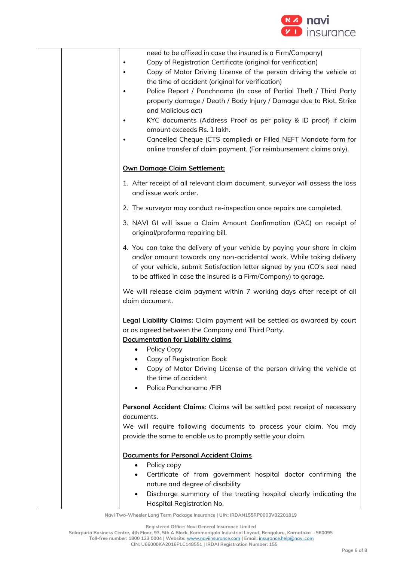

| need to be affixed in case the insured is a Firm/Company)<br>Copy of Registration Certificate (original for verification)<br>Copy of Motor Driving License of the person driving the vehicle at<br>the time of accident (original for verification)<br>Police Report / Panchnama (In case of Partial Theft / Third Party<br>$\bullet$<br>property damage / Death / Body Injury / Damage due to Riot, Strike<br>and Malicious act)<br>KYC documents (Address Proof as per policy & ID proof) if claim<br>$\bullet$<br>amount exceeds Rs. 1 lakh.<br>Cancelled Cheque (CTS complied) or Filled NEFT Mandate form for<br>$\bullet$ |
|---------------------------------------------------------------------------------------------------------------------------------------------------------------------------------------------------------------------------------------------------------------------------------------------------------------------------------------------------------------------------------------------------------------------------------------------------------------------------------------------------------------------------------------------------------------------------------------------------------------------------------|
| online transfer of claim payment. (For reimbursement claims only).<br><b>Own Damage Claim Settlement:</b>                                                                                                                                                                                                                                                                                                                                                                                                                                                                                                                       |
|                                                                                                                                                                                                                                                                                                                                                                                                                                                                                                                                                                                                                                 |
| 1. After receipt of all relevant claim document, surveyor will assess the loss<br>and issue work order.                                                                                                                                                                                                                                                                                                                                                                                                                                                                                                                         |
| 2. The surveyor may conduct re-inspection once repairs are completed.                                                                                                                                                                                                                                                                                                                                                                                                                                                                                                                                                           |
| 3. NAVI GI will issue a Claim Amount Confirmation (CAC) on receipt of<br>original/proforma repairing bill.                                                                                                                                                                                                                                                                                                                                                                                                                                                                                                                      |
| 4. You can take the delivery of your vehicle by paying your share in claim<br>and/or amount towards any non-accidental work. While taking delivery<br>of your vehicle, submit Satisfaction letter signed by you (CO's seal need<br>to be affixed in case the insured is a Firm/Company) to garage.                                                                                                                                                                                                                                                                                                                              |
| We will release claim payment within 7 working days after receipt of all<br>claim document.                                                                                                                                                                                                                                                                                                                                                                                                                                                                                                                                     |
| Legal Liability Claims: Claim payment will be settled as awarded by court<br>or as agreed between the Company and Third Party.<br><b>Documentation for Liability claims</b><br>Policy Copy<br>Copy of Registration Book<br>Copy of Motor Driving License of the person driving the vehicle at<br>the time of accident<br>Police Panchanama /FIR                                                                                                                                                                                                                                                                                 |
| Personal Accident Claims: Claims will be settled post receipt of necessary<br>documents.<br>We will require following documents to process your claim. You may<br>provide the same to enable us to promptly settle your claim.                                                                                                                                                                                                                                                                                                                                                                                                  |
| <b>Documents for Personal Accident Claims</b><br>Policy copy<br>$\bullet$<br>Certificate of from government hospital doctor confirming the<br>$\bullet$<br>nature and degree of disability<br>Discharge summary of the treating hospital clearly indicating the<br>$\bullet$<br>Hospital Registration No.                                                                                                                                                                                                                                                                                                                       |

**Registered Office: Navi General Insurance Limited**

**Salarpuria Business Centre, 4th Floor, 93, 5th A Block, Koramangala Industrial Layout, Bengaluru, Karnataka – 560095 Toll-free number: 1800 123 0004 | Website:** [www.naviinsurance.com](http://www.naviinsurance.com/) **| Email:** [insurance.help@navi.com](mailto:insurance.help@navi.com)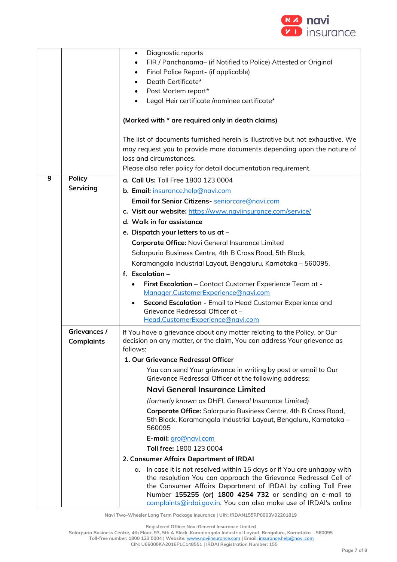

|   |                                   | Diagnostic reports<br>$\bullet$                                                                                                                                |
|---|-----------------------------------|----------------------------------------------------------------------------------------------------------------------------------------------------------------|
|   |                                   | FIR / Panchanama- (if Notified to Police) Attested or Original                                                                                                 |
|   |                                   | Final Police Report- (if applicable)                                                                                                                           |
|   |                                   | Death Certificate*                                                                                                                                             |
|   |                                   | Post Mortem report*                                                                                                                                            |
|   |                                   | Legal Heir certificate /nominee certificate*                                                                                                                   |
|   |                                   |                                                                                                                                                                |
|   |                                   | (Marked with * are required only in death claims)                                                                                                              |
|   |                                   | The list of documents furnished herein is illustrative but not exhaustive. We                                                                                  |
|   |                                   | may request you to provide more documents depending upon the nature of                                                                                         |
|   |                                   | loss and circumstances.                                                                                                                                        |
|   |                                   | Please also refer policy for detail documentation requirement.                                                                                                 |
| 9 | <b>Policy</b>                     | a. Call Us: Toll Free 1800 123 0004                                                                                                                            |
|   | Servicing                         | b. Email: insurance.help@navi.com                                                                                                                              |
|   |                                   | Email for Senior Citizens- seniorcare@navi.com                                                                                                                 |
|   |                                   | c. Visit our website: https://www.naviinsurance.com/service/                                                                                                   |
|   |                                   | d. Walk in for assistance                                                                                                                                      |
|   |                                   | e. Dispatch your letters to us at -                                                                                                                            |
|   |                                   | Corporate Office: Navi General Insurance Limited                                                                                                               |
|   |                                   | Salarpuria Business Centre, 4th B Cross Road, 5th Block,                                                                                                       |
|   |                                   | Koramangala Industrial Layout, Bengaluru, Karnataka - 560095.                                                                                                  |
|   |                                   | f. Escalation $-$                                                                                                                                              |
|   |                                   | First Escalation - Contact Customer Experience Team at -                                                                                                       |
|   |                                   | Manager.CustomerExperience@navi.com                                                                                                                            |
|   |                                   | Second Escalation - Email to Head Customer Experience and                                                                                                      |
|   |                                   | Grievance Redressal Officer at -                                                                                                                               |
|   |                                   | Head.CustomerExperience@navi.com                                                                                                                               |
|   | Grievances /<br><b>Complaints</b> | If You have a grievance about any matter relating to the Policy, or Our<br>decision on any matter, or the claim, You can address Your grievance as<br>follows: |
|   |                                   | 1. Our Grievance Redressal Officer                                                                                                                             |
|   |                                   | You can send Your grievance in writing by post or email to Our<br>Grievance Redressal Officer at the following address:                                        |
|   |                                   | Navi General Insurance Limited                                                                                                                                 |
|   |                                   | (formerly known as DHFL General Insurance Limited)                                                                                                             |
|   |                                   | Corporate Office: Salarpuria Business Centre, 4th B Cross Road,                                                                                                |
|   |                                   | 5th Block, Koramangala Industrial Layout, Bengaluru, Karnataka –<br>560095                                                                                     |
|   |                                   | E-mail: gro@navi.com                                                                                                                                           |
|   |                                   | Toll free: 1800 123 0004                                                                                                                                       |
|   |                                   | 2. Consumer Affairs Department of IRDAI                                                                                                                        |
|   |                                   | a. In case it is not resolved within 15 days or if You are unhappy with                                                                                        |
|   |                                   | the resolution You can approach the Grievance Redressal Cell of                                                                                                |
|   |                                   | the Consumer Affairs Department of IRDAI by calling Toll Free                                                                                                  |
|   |                                   | Number 155255 (or) 1800 4254 732 or sending an e-mail to<br>complaints@irdai.gov.in. You can also make use of IRDAI's online                                   |

**Registered Office: Navi General Insurance Limited**

**Salarpuria Business Centre, 4th Floor, 93, 5th A Block, Koramangala Industrial Layout, Bengaluru, Karnataka – 560095 Toll-free number: 1800 123 0004 | Website:** [www.naviinsurance.com](http://www.naviinsurance.com/) **| Email:** [insurance.help@navi.com](mailto:insurance.help@navi.com)

**CIN: U66000KA2016PLC148551 | IRDAI Registration Number: 155**